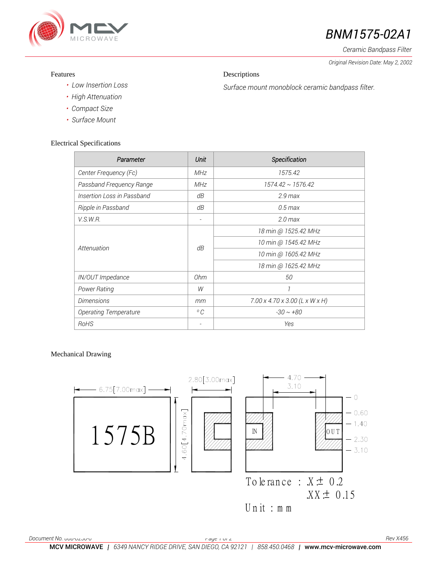

# *BNM1575-02A1*

*Ceramic Bandpass Filter*

*Original Revision Date: May 2, 2002* 

### Features

## Descriptions

*Surface mount monoblock ceramic bandpass filter.*

- *• Low Insertion Loss*
- *• High Attenuation*
- *• Compact Size*
- *• Surface Mount*

## Electrical Specifications

| Parameter                    | Unit                     | Specification                              |
|------------------------------|--------------------------|--------------------------------------------|
| Center Frequency (Fc)        | <b>MHz</b>               | 1575.42                                    |
| Passband Frequency Range     | <b>MHz</b>               | $1574.42 \sim 1576.42$                     |
| Insertion Loss in Passband   | dΒ                       | $2.9$ max                                  |
| Ripple in Passband           | dΒ                       | $0.5$ max                                  |
| <i>V.S.W.R.</i>              | $\overline{\phantom{a}}$ | $2.0$ max                                  |
| Attenuation                  | dB                       | 18 min @ 1525.42 MHz                       |
|                              |                          | 10 min @ 1545.42 MHz                       |
|                              |                          | 10 min @ 1605.42 MHz                       |
|                              |                          | 18 min @ 1625.42 MHz                       |
| IN/OUT Impedance             | Ohm                      | 50                                         |
| Power Rating                 | W                        | 1                                          |
| <b>Dimensions</b>            | mm                       | $7.00 \times 4.70 \times 3.00$ (L x W x H) |
| <b>Operating Temperature</b> | $^{\circ}$ C             | $-30 \sim +80$                             |
| RoHS                         |                          | Yes                                        |

Mechanical Drawing